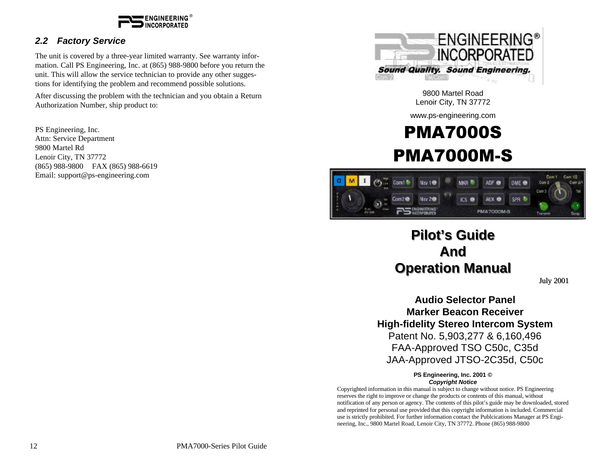

#### *2.2 Factory Service*

The unit is covered by a three-year limited warranty. See warranty information. Call PS Engineering, Inc. at (865) 988-9800 before you return the unit. This will allow the service technician to provide any other suggestions for identifying the problem and recommend possible solutions.

After discussing the problem with the technician and you obtain a Return Authorization Number, ship product to:

PS Engineering, Inc. Attn: Service Department 9800 Martel Rd Lenoir City, TN 37772 (865) 988-9800 FAX (865) 988-6619 Email: support@ps-engineering.com



9800 Martel Road Lenoir City, TN 37772

www.ps-engineering.com

# PMA7000S PMA7000M-S



# **Pilot's Guide And Operation Manual**

July 2001

**Audio Selector Panel Marker Beacon Receiver High-fidelity Stereo Intercom System** Patent No. 5,903,277 & 6,160,496 FAA-Approved TSO C50c, C35d JAA-Approved JTSO-2C35d, C50c

#### **PS Engineering, Inc. 2001 ©** *Copyright Notice*

Copyrighted information in this manual is subject to change without notice. PS Engineering reserves the right to improve or change the products or contents of this manual, without notification of any person or agency. The contents of this pilot's guide may be downloaded, stored and reprinted for personal use provided that this copyright information is included. Commercial use is strictly prohibited. For further information contact the Publcications Manager at PS Engineering, Inc., 9800 Martel Road, Lenoir City, TN 37772. Phone (865) 988-9800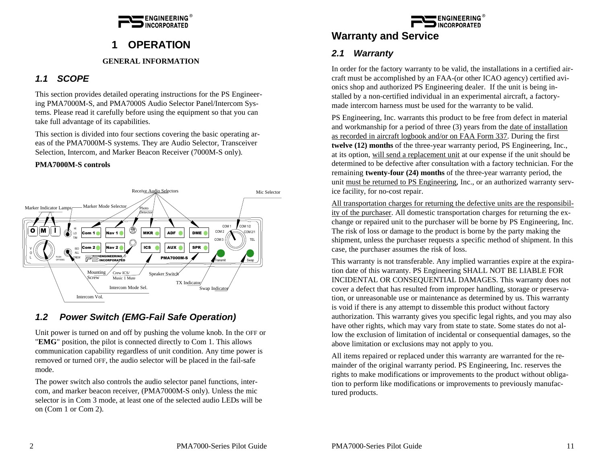

## **1 OPERATION**

#### **GENERAL INFORMATION**

#### *1.1 SCOPE*

This section provides detailed operating instructions for the PS Engineering PMA7000M-S, and PMA7000S Audio Selector Panel/Intercom Systems. Please read it carefully before using the equipment so that you can take full advantage of its capabilities.

This section is divided into four sections covering the basic operating areas of the PMA7000M-S systems. They are Audio Selector, Transceiver Selection, Intercom, and Marker Beacon Receiver (7000M-S only).

#### **PMA7000M-S controls**



#### *1.2 Power Switch (EMG-Fail Safe Operation)*

Unit power is turned on and off by pushing the volume knob. In the OFF or "**EMG**" position, the pilot is connected directly to Com 1. This allows communication capability regardless of unit condition. Any time power is removed or turned OFF, the audio selector will be placed in the fail-safe mode.

The power switch also controls the audio selector panel functions, intercom, and marker beacon receiver, (PMA7000M-S only). Unless the mic selector is in Com 3 mode, at least one of the selected audio LEDs will be on (Com 1 or Com 2).



## **Warranty and Service**

#### *2.1 Warranty*

In order for the factory warranty to be valid, the installations in a certified aircraft must be accomplished by an FAA-(or other ICAO agency) certified avionics shop and authorized PS Engineering dealer. If the unit is being installed by a non-certified individual in an experimental aircraft, a factorymade intercom harness must be used for the warranty to be valid.

PS Engineering, Inc. warrants this product to be free from defect in material and workmanship for a period of three (3) years from the date of installation as recorded in aircraft logbook and/or on FAA Form 337. During the first **twelve (12) months** of the three-year warranty period, PS Engineering, Inc., at its option, will send a replacement unit at our expense if the unit should be determined to be defective after consultation with a factory technician. For the remaining **twenty-four (24) months** of the three-year warranty period, the unit must be returned to PS Engineering, Inc., or an authorized warranty service facility, for no-cost repair.

All transportation charges for returning the defective units are the responsibility of the purchaser. All domestic transportation charges for returning the exchange or repaired unit to the purchaser will be borne by PS Engineering, Inc. The risk of loss or damage to the product is borne by the party making the shipment, unless the purchaser requests a specific method of shipment. In this case, the purchaser assumes the risk of loss.

This warranty is not transferable. Any implied warranties expire at the expiration date of this warranty. PS Engineering SHALL NOT BE LIABLE FOR INCIDENTAL OR CONSEQUENTIAL DAMAGES. This warranty does not cover a defect that has resulted from improper handling, storage or preservation, or unreasonable use or maintenance as determined by us. This warranty is void if there is any attempt to dissemble this product without factory authorization. This warranty gives you specific legal rights, and you may also have other rights, which may vary from state to state. Some states do not allow the exclusion of limitation of incidental or consequential damages, so the above limitation or exclusions may not apply to you.

All items repaired or replaced under this warranty are warranted for the remainder of the original warranty period. PS Engineering, Inc. reserves the rights to make modifications or improvements to the product without obligation to perform like modifications or improvements to previously manufactured products.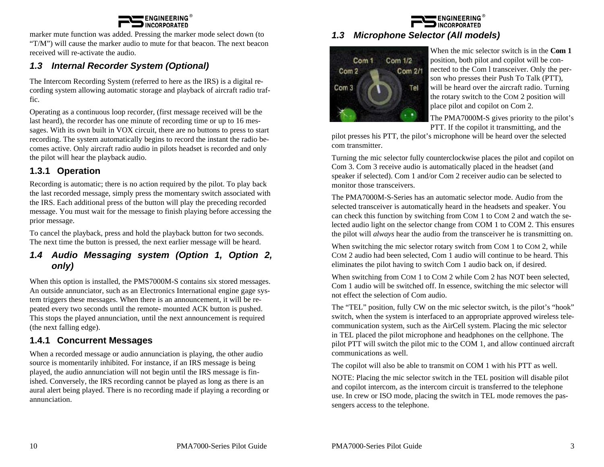#### **ENGINEERING DINCORPORATED**

marker mute function was added. Pressing the marker mode select down (to "T/M") will cause the marker audio to mute for that beacon. The next beacon received will re-activate the audio.

## *1.3 Internal Recorder System (Optional)*

The Intercom Recording System (referred to here as the IRS) is a digital recording system allowing automatic storage and playback of aircraft radio traffic.

Operating as a continuous loop recorder, (first message received will be the last heard), the recorder has one minute of recording time or up to 16 messages. With its own built in VOX circuit, there are no buttons to press to start recording. The system automatically begins to record the instant the radio becomes active. Only aircraft radio audio in pilots headset is recorded and only the pilot will hear the playback audio.

#### **1.3.1 Operation**

Recording is automatic; there is no action required by the pilot. To play back the last recorded message, simply press the momentary switch associated with the IRS. Each additional press of the button will play the preceding recorded message. You must wait for the message to finish playing before accessing the prior message.

To cancel the playback, press and hold the playback button for two seconds. The next time the button is pressed, the next earlier message will be heard.

#### *1.4 Audio Messaging system (Option 1, Option 2, only)*

When this option is installed, the PMS7000M-S contains six stored messages. An outside annunciator, such as an Electronics International engine gage system triggers these messages. When there is an announcement, it will be repeated every two seconds until the remote- mounted ACK button is pushed. This stops the played annunciation, until the next announcement is required (the next falling edge).

#### **1.4.1 Concurrent Messages**

When a recorded message or audio annunciation is playing, the other audio source is momentarily inhibited. For instance, if an IRS message is being played, the audio annunciation will not begin until the IRS message is finished. Conversely, the IRS recording cannot be played as long as there is an aural alert being played. There is no recording made if playing a recording or annunciation.

#### **ENGINEERING INCORPORATED**

#### *1.3 Microphone Selector (All models)*



When the mic selector switch is in the **Com 1** position, both pilot and copilot will be connected to the Com l transceiver. Only the person who presses their Push To Talk (PTT), will be heard over the aircraft radio. Turning the rotary switch to the COM 2 position will place pilot and copilot on Com 2.

The PMA7000M-S gives priority to the pilot's PTT. If the copilot it transmitting, and the

pilot presses his PTT, the pilot's microphone will be heard over the selected com transmitter.

Turning the mic selector fully counterclockwise places the pilot and copilot on Com 3. Com 3 receive audio is automatically placed in the headset (and speaker if selected). Com 1 and/or Com 2 receiver audio can be selected to monitor those transceivers.

The PMA7000M-S-Series has an automatic selector mode. Audio from the selected transceiver is automatically heard in the headsets and speaker. You can check this function by switching from COM 1 to COM 2 and watch the selected audio light on the selector change from COM 1 to COM 2. This ensures the pilot will *always* hear the audio from the transceiver he is transmitting on.

When switching the mic selector rotary switch from COM 1 to COM 2, while COM 2 audio had been selected, Com 1 audio will continue to be heard. This eliminates the pilot having to switch Com 1 audio back on, if desired.

When switching from COM 1 to COM 2 while Com 2 has NOT been selected, Com 1 audio will be switched off. In essence, switching the mic selector will not effect the selection of Com audio.

The "TEL" position, fully CW on the mic selector switch, is the pilot's "hook" switch, when the system is interfaced to an appropriate approved wireless telecommunication system, such as the AirCell system. Placing the mic selector in TEL placed the pilot microphone and headphones on the cellphone. The pilot PTT will switch the pilot mic to the COM 1, and allow continued aircraft communications as well.

The copilot will also be able to transmit on COM 1 with his PTT as well.

NOTE: Placing the mic selector switch in the TEL position will disable pilot and copilot intercom, as the intercom circuit is transferred to the telephone use. In crew or ISO mode, placing the switch in TEL mode removes the passengers access to the telephone.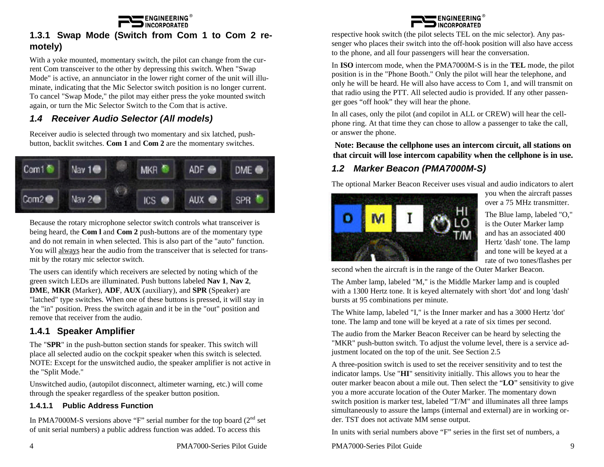

### **1.3.1 Swap Mode (Switch from Com 1 to Com 2 remotely)**

With a yoke mounted, momentary switch, the pilot can change from the current Com transceiver to the other by depressing this switch. When "Swap Mode" is active, an annunciator in the lower right corner of the unit will illuminate, indicating that the Mic Selector switch position is no longer current. To cancel "Swap Mode," the pilot may either press the yoke mounted switch again, or turn the Mic Selector Switch to the Com that is active.

### *1.4 Receiver Audio Selector (All models)*

Receiver audio is selected through two momentary and six latched, pushbutton, backlit switches. **Com 1** and **Com 2** are the momentary switches.



Because the rotary microphone selector switch controls what transceiver is being heard, the **Com l** and **Com 2** push-buttons are of the momentary type and do not remain in when selected. This is also part of the "auto" function. You will always hear the audio from the transceiver that is selected for transmit by the rotary mic selector switch.

The users can identify which receivers are selected by noting which of the green switch LEDs are illuminated. Push buttons labeled **Nav 1**, **Nav 2**, **DME**, **MKR** (Marker), **ADF**, **AUX** (auxiliary), and **SPR** (Speaker) are "latched" type switches. When one of these buttons is pressed, it will stay in the "in" position. Press the switch again and it be in the "out" position and remove that receiver from the audio.

#### **1.4.1 Speaker Amplifier**

The "**SPR**" in the push-button section stands for speaker. This switch will place all selected audio on the cockpit speaker when this switch is selected. NOTE: Except for the unswitched audio, the speaker amplifier is not active in the "Split Mode."

Unswitched audio, (autopilot disconnect, altimeter warning, etc.) will come through the speaker regardless of the speaker button position.

#### **1.4.1.1 Public Address Function**

In PMA7000M-S versions above "F" serial number for the top board  $(2<sup>nd</sup>$  set of unit serial numbers) a public address function was added. To access this



respective hook switch (the pilot selects TEL on the mic selector). Any passenger who places their switch into the off-hook position will also have access to the phone, and all four passengers will hear the conversation.

In **ISO** intercom mode, when the PMA7000M-S is in the **TEL** mode, the pilot position is in the "Phone Booth." Only the pilot will hear the telephone, and only he will be heard. He will also have access to Com 1, and will transmit on that radio using the PTT. All selected audio is provided. If any other passenger goes "off hook" they will hear the phone.

In all cases, only the pilot (and copilot in ALL or CREW) will hear the cellphone ring. At that time they can chose to allow a passenger to take the call, or answer the phone.

**Note: Because the cellphone uses an intercom circuit, all stations on that circuit will lose intercom capability when the cellphone is in use.**

## *1.2 Marker Beacon (PMA7000M-S)*

The optional Marker Beacon Receiver uses visual and audio indicators to alert



you when the aircraft passes over a 75 MHz transmitter.

The Blue lamp, labeled "O," is the Outer Marker lamp and has an associated 400 Hertz 'dash' tone. The lamp and tone will be keyed at a rate of two tones/flashes per

second when the aircraft is in the range of the Outer Marker Beacon.

The Amber lamp, labeled "M," is the Middle Marker lamp and is coupled with a 1300 Hertz tone. It is keyed alternately with short 'dot' and long 'dash' bursts at 95 combinations per minute.

The White lamp, labeled "I," is the Inner marker and has a 3000 Hertz 'dot' tone. The lamp and tone will be keyed at a rate of six times per second.

The audio from the Marker Beacon Receiver can be heard by selecting the "MKR" push-button switch. To adjust the volume level, there is a service adjustment located on the top of the unit. See Section 2.5

A three-position switch is used to set the receiver sensitivity and to test the indicator lamps. Use "**HI**" sensitivity initially. This allows you to hear the outer marker beacon about a mile out. Then select the "**LO**" sensitivity to give you a more accurate location of the Outer Marker. The momentary down switch position is marker test, labeled "T/M" and illuminates all three lamps simultaneously to assure the lamps (internal and external) are in working order. TST does not activate MM sense output.

In units with serial numbers above "F" series in the first set of numbers, a

PMA7000-Series Pilot Guide 9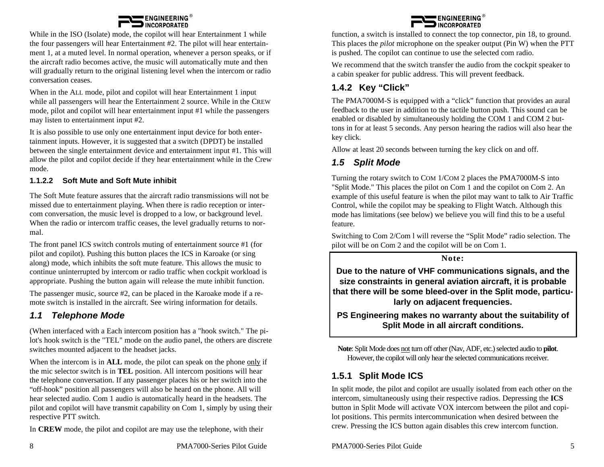

While in the ISO (Isolate) mode, the copilot will hear Entertainment 1 while the four passengers will hear Entertainment #2. The pilot will hear entertainment 1, at a muted level. In normal operation, whenever a person speaks, or if the aircraft radio becomes active, the music will automatically mute and then will gradually return to the original listening level when the intercom or radio conversation ceases.

When in the ALL mode, pilot and copilot will hear Entertainment 1 input while all passengers will hear the Entertainment 2 source. While in the CREW mode, pilot and copilot will hear entertainment input #1 while the passengers may listen to entertainment input #2.

It is also possible to use only one entertainment input device for both entertainment inputs. However, it is suggested that a switch (DPDT) be installed between the single entertainment device and entertainment input #1. This will allow the pilot and copilot decide if they hear entertainment while in the Crew mode.

#### **1.1.2.2 Soft Mute and Soft Mute inhibit**

The Soft Mute feature assures that the aircraft radio transmissions will not be missed due to entertainment playing. When there is radio reception or intercom conversation, the music level is dropped to a low, or background level. When the radio or intercom traffic ceases, the level gradually returns to normal.

The front panel ICS switch controls muting of entertainment source #1 (for pilot and copilot). Pushing this button places the ICS in Karoake (or sing along) mode, which inhibits the soft mute feature. This allows the music to continue uninterrupted by intercom or radio traffic when cockpit workload is appropriate. Pushing the button again will release the mute inhibit function.

The passenger music, source #2, can be placed in the Karoake mode if a remote switch is installed in the aircraft. See wiring information for details.

#### *1.1 Telephone Mode*

(When interfaced with a Each intercom position has a "hook switch." The pilot's hook switch is the "TEL" mode on the audio panel, the others are discrete switches mounted adjacent to the headset jacks.

When the intercom is in **ALL** mode, the pilot can speak on the phone only if the mic selector switch is in **TEL** position. All intercom positions will hear the telephone conversation. If any passenger places his or her switch into the "off-hook" position all passengers will also be heard on the phone. All will hear selected audio. Com 1 audio is automatically heard in the headsets. The pilot and copilot will have transmit capability on Com 1, simply by using their respective PTT switch.

In **CREW** mode, the pilot and copilot are may use the telephone, with their

8 PMA7000-Series Pilot Guide

**ENGINEERING INCORPORATED** 

function, a switch is installed to connect the top connector, pin 18, to ground. This places the *pilot* microphone on the speaker output (Pin W) when the PTT is pushed. The copilot can continue to use the selected com radio.

We recommend that the switch transfer the audio from the cockpit speaker to a cabin speaker for public address. This will prevent feedback.

## **1.4.2 Key "Click"**

The PMA7000M-S is equipped with a "click" function that provides an aural feedback to the user in addition to the tactile button push. This sound can be enabled or disabled by simultaneously holding the COM 1 and COM 2 buttons in for at least 5 seconds. Any person hearing the radios will also hear the key click.

Allow at least 20 seconds between turning the key click on and off.

### *1.5 Split Mode*

Turning the rotary switch to COM 1/COM 2 places the PMA7000M-S into "Split Mode." This places the pilot on Com 1 and the copilot on Com 2. An example of this useful feature is when the pilot may want to talk to Air Traffic Control, while the copilot may be speaking to Flight Watch. Although this mode has limitations (see below) we believe you will find this to be a useful feature.

Switching to Com 2/Com l will reverse the "Split Mode" radio selection. The pilot will be on Com 2 and the copilot will be on Com 1.

**Note:**

**Due to the nature of VHF communications signals, and the size constraints in general aviation aircraft, it is probable that there will be some bleed-over in the Split mode, particularly on adjacent frequencies.**

**PS Engineering makes no warranty about the suitability of Split Mode in all aircraft conditions.**

**Note**: Split Mode does not turn off other (Nav, ADF, etc.) selected audio to **pilot**. However, the copilot will only hear the selected communications receiver.

#### **1.5.1 Split Mode ICS**

In split mode, the pilot and copilot are usually isolated from each other on the intercom, simultaneously using their respective radios. Depressing the **ICS** button in Split Mode will activate VOX intercom between the pilot and copilot positions. This permits intercommunication when desired between the crew. Pressing the ICS button again disables this crew intercom function.

PMA7000-Series Pilot Guide 5